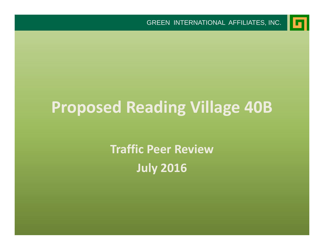

# **Proposed Reading Village 40B**

**Traffic Peer Review July 2016**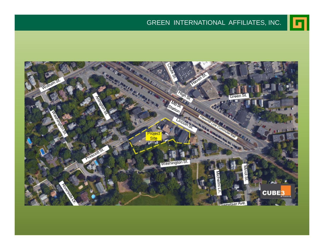#### GREEN INTERNATIONAL AFFILIATES, INC.

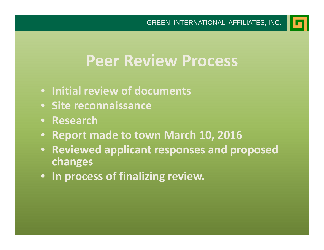## **Peer Review Process**

- **Initial review of documents**
- **Site reconnaissance**
- **Research**
- **Report made to town March 10, 2016**
- **Reviewed applicant responses and proposed changes**
- **In process of finalizing review.**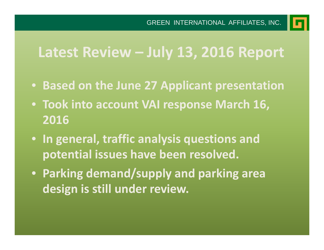**Latest Review – July 13, 2016 Report**

- **Based on the June 27 Applicant presentation**
- **Took into account VAI response March 16, 2016**
- **In general, traffic analysis questions and potential issues have been resolved.**
- **Parking demand/supply and parking area design is still under review.**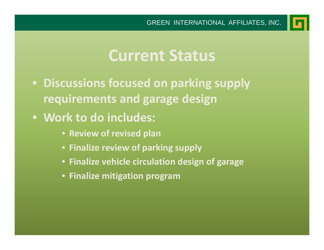

## **Current Status**

- **Discussions focused on parking supply requirements and garage design**
- **Work to do includes:**
	- **Review of revised plan**
	- **Finalize review of parking supply**
	- **Finalize vehicle circulation design of garage**
	- **Finalize mitigation program**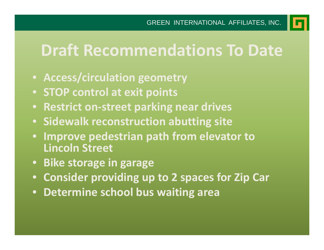

# **Draft Recommendations To Date**

- **Access/circulation geometry**
- **STOP control at exit points**
- **•** Restrict on-street parking near drives
- **Sidewalk reconstruction abutting site**
- $\bullet$  **Improve pedestrian path from elevator to Lincoln Street**
- **Bike storage in garage**
- **Consider providing up to 2 spaces for Zip Car**
- **Determine school bus waiting area**